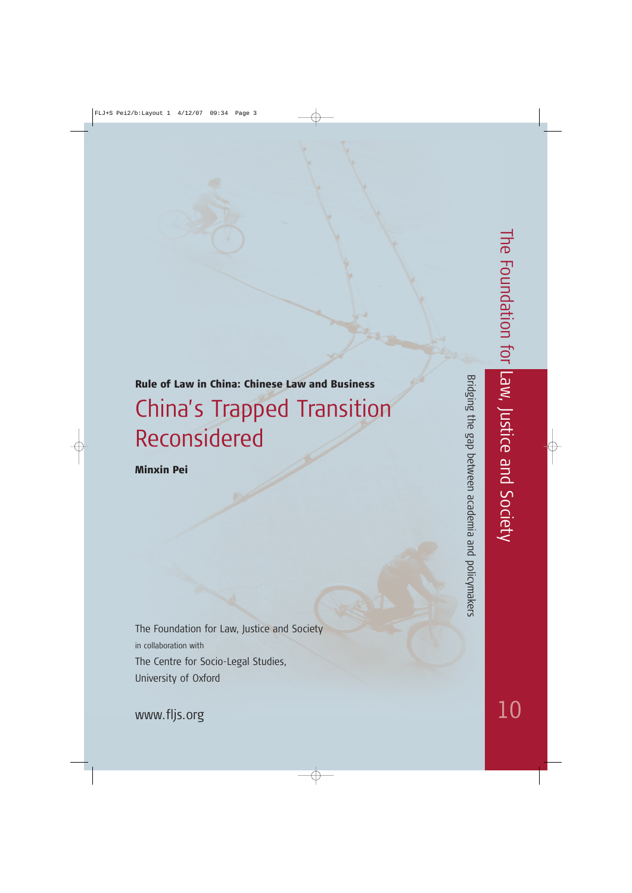# Rule of Law in China: Chinese Law and Business China's Trapped Transition Reconsidered

Minxin Pei

The Foundation for Law, Justice and Society in collaboration with The Centre for Socio-Legal Studies, University of Oxford

Bridging the gap between academia and policymakers Bridging the gap between academia and policymakers

The Foundation for Law, Justice and Society

The Foundation for Law, Justice and Society

www.fljs.org

10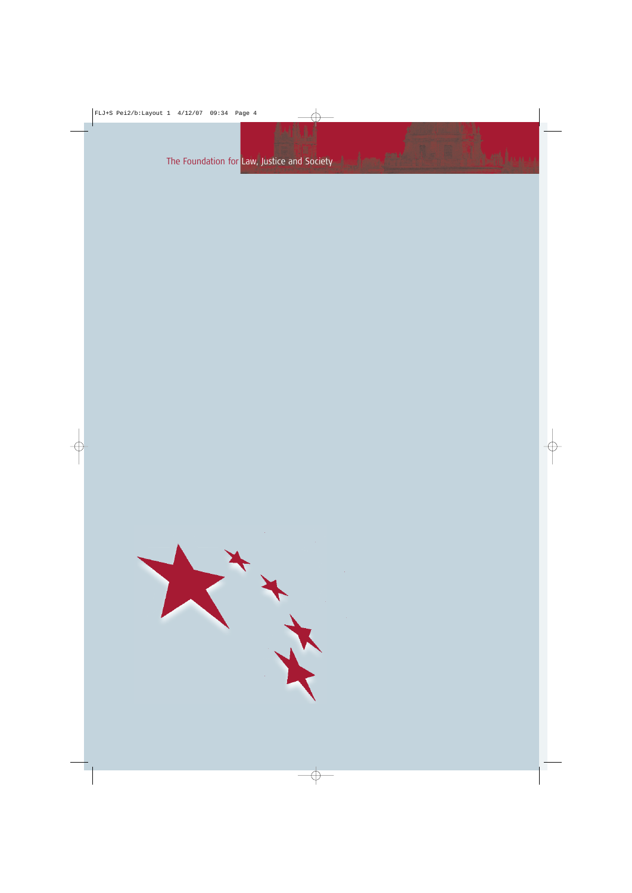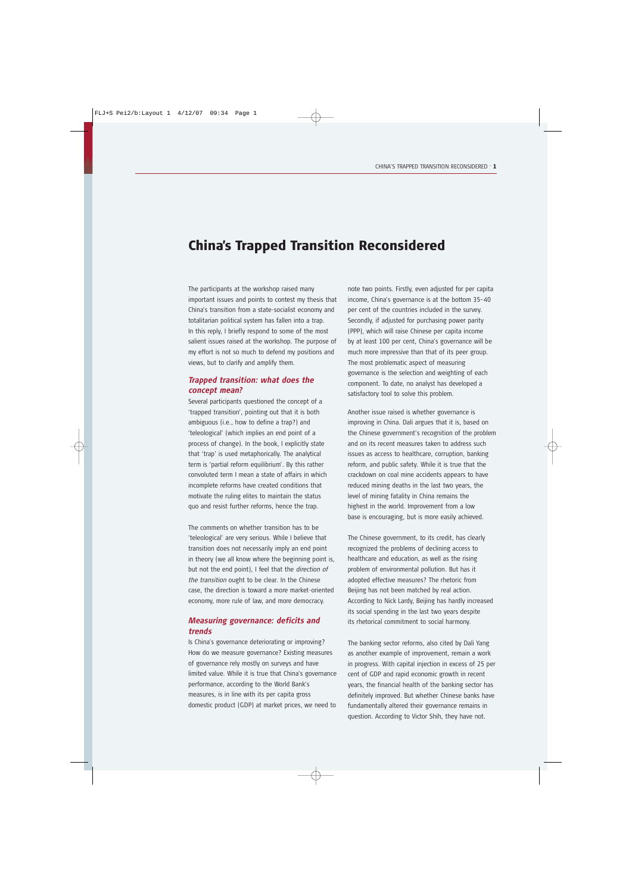## China's Trapped Transition Reconsidered

The participants at the workshop raised many important issues and points to contest my thesis that China's transition from a state-socialist economy and totalitarian political system has fallen into a trap. In this reply, I briefly respond to some of the most salient issues raised at the workshop. The purpose of my effort is not so much to defend my positions and views, but to clarify and amplify them.

#### *Trapped transition: what does the concept mean?*

Several participants questioned the concept of a 'trapped transition', pointing out that it is both ambiguous (i.e., how to define a trap?) and 'teleological' (which implies an end point of a process of change). In the book, I explicitly state that 'trap' is used metaphorically. The analytical term is 'partial reform equilibrium'. By this rather convoluted term I mean a state of affairs in which incomplete reforms have created conditions that motivate the ruling elites to maintain the status quo and resist further reforms, hence the trap.

The comments on whether transition has to be 'teleological' are very serious. While I believe that transition does not necessarily imply an end point in theory (we all know where the beginning point is, but not the end point), I feel that the *direction of the transition* ought to be clear. In the Chinese case, the direction is toward a more market-oriented economy, more rule of law, and more democracy.

#### *Measuring governance: deficits and trends*

Is China's governance deteriorating or improving? How do we measure governance? Existing measures of governance rely mostly on surveys and have limited value. While it is true that China's governance performance, according to the World Bank's measures, is in line with its per capita gross domestic product (GDP) at market prices, we need to

note two points. Firstly, even adjusted for per capita income, China's governance is at the bottom 35–40 per cent of the countries included in the survey. Secondly, if adjusted for purchasing power parity (PPP), which will raise Chinese per capita income by at least 100 per cent, China's governance will be much more impressive than that of its peer group. The most problematic aspect of measuring governance is the selection and weighting of each component. To date, no analyst has developed a satisfactory tool to solve this problem.

Another issue raised is whether governance is improving in China. Dali argues that it is, based on the Chinese government's recognition of the problem and on its recent measures taken to address such issues as access to healthcare, corruption, banking reform, and public safety. While it is true that the crackdown on coal mine accidents appears to have reduced mining deaths in the last two years, the level of mining fatality in China remains the highest in the world. Improvement from a low base is encouraging, but is more easily achieved.

The Chinese government, to its credit, has clearly recognized the problems of declining access to healthcare and education, as well as the rising problem of environmental pollution. But has it adopted effective measures? The rhetoric from Beijing has not been matched by real action. According to Nick Lardy, Beijing has hardly increased its social spending in the last two years despite its rhetorical commitment to social harmony.

The banking sector reforms, also cited by Dali Yang as another example of improvement, remain a work in progress. With capital injection in excess of 25 per cent of GDP and rapid economic growth in recent years, the financial health of the banking sector has definitely improved. But whether Chinese banks have fundamentally altered their governance remains in question. According to Victor Shih, they have not.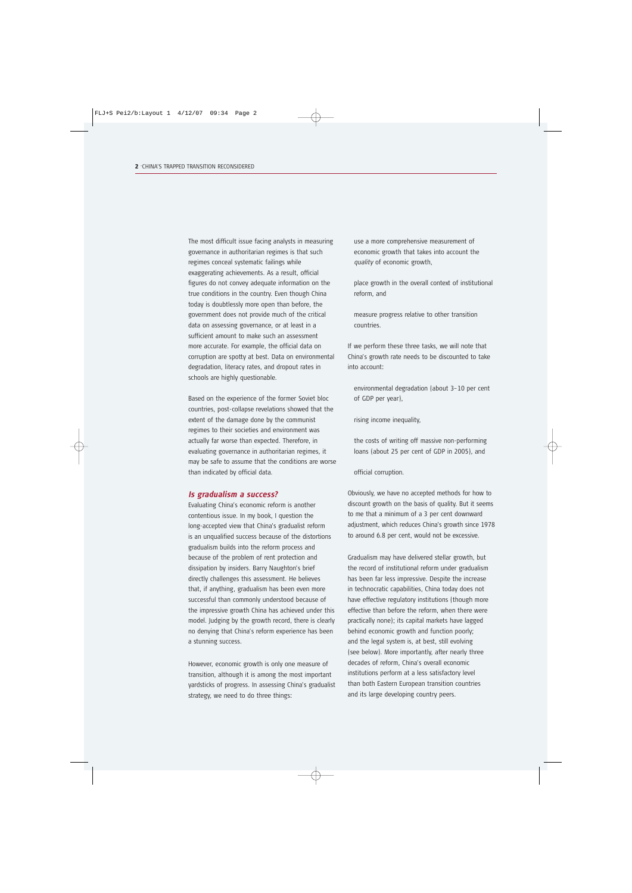The most difficult issue facing analysts in measuring governance in authoritarian regimes is that such regimes conceal systematic failings while exaggerating achievements. As a result, official figures do not convey adequate information on the true conditions in the country. Even though China today is doubtlessly more open than before, the government does not provide much of the critical data on assessing governance, or at least in a sufficient amount to make such an assessment more accurate. For example, the official data on corruption are spotty at best. Data on environmental degradation, literacy rates, and dropout rates in schools are highly questionable.

Based on the experience of the former Soviet bloc countries, post-collapse revelations showed that the extent of the damage done by the communist regimes to their societies and environment was actually far worse than expected. Therefore, in evaluating governance in authoritarian regimes, it may be safe to assume that the conditions are worse than indicated by official data.

#### *Is gradualism a success?*

Evaluating China's economic reform is another contentious issue. In my book, I question the long-accepted view that China's gradualist reform is an unqualified success because of the distortions gradualism builds into the reform process and because of the problem of rent protection and dissipation by insiders. Barry Naughton's brief directly challenges this assessment. He believes that, if anything, gradualism has been even more successful than commonly understood because of the impressive growth China has achieved under this model. Judging by the growth record, there is clearly no denying that China's reform experience has been a stunning success.

However, economic growth is only one measure of transition, although it is among the most important yardsticks of progress. In assessing China's gradualist strategy, we need to do three things:

use a more comprehensive measurement of economic growth that takes into account the *quality* of economic growth,

place growth in the overall context of institutional reform, and

measure progress relative to other transition countries.

If we perform these three tasks, we will note that China's growth rate needs to be discounted to take into account:

environmental degradation (about 3–10 per cent of GDP per year),

rising income inequality,

the costs of writing off massive non-performing loans (about 25 per cent of GDP in 2005), and

official corruption.

Obviously, we have no accepted methods for how to discount growth on the basis of quality. But it seems to me that a minimum of a 3 per cent downward adjustment, which reduces China's growth since 1978 to around 6.8 per cent, would not be excessive.

Gradualism may have delivered stellar growth, but the record of institutional reform under gradualism has been far less impressive. Despite the increase in technocratic capabilities, China today does not have effective regulatory institutions (though more effective than before the reform, when there were practically none); its capital markets have lagged behind economic growth and function poorly; and the legal system is, at best, still evolving (see below). More importantly, after nearly three decades of reform, China's overall economic institutions perform at a less satisfactory level than both Eastern European transition countries and its large developing country peers.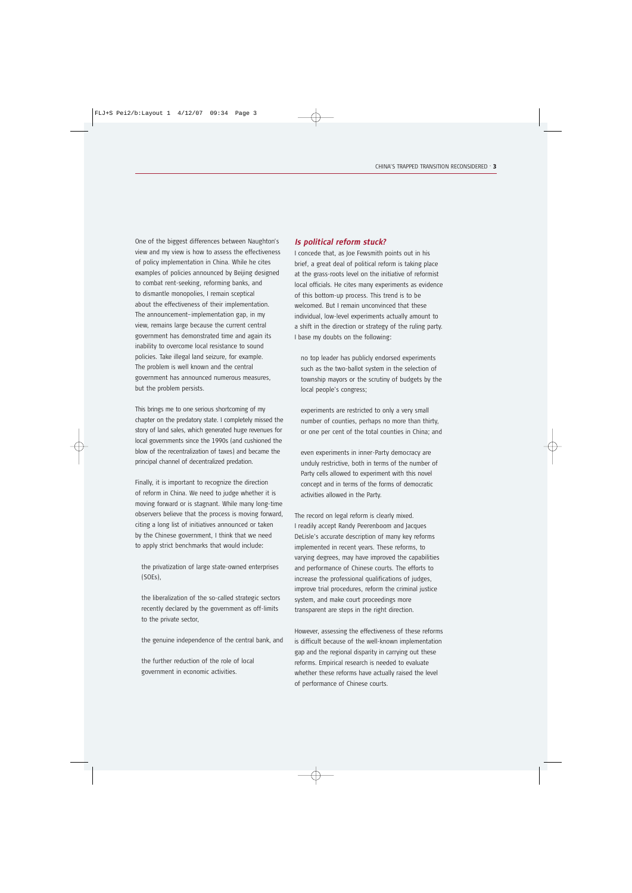One of the biggest differences between Naughton's view and my view is how to assess the effectiveness of policy implementation in China. While he cites examples of policies announced by Beijing designed to combat rent-seeking, reforming banks, and to dismantle monopolies, I remain sceptical about the effectiveness of their implementation. The announcement–implementation gap, in my view, remains large because the current central government has demonstrated time and again its inability to overcome local resistance to sound policies. Take illegal land seizure, for example. The problem is well known and the central government has announced numerous measures, but the problem persists.

This brings me to one serious shortcoming of my chapter on the predatory state. I completely missed the story of land sales, which generated huge revenues for local governments since the 1990s (and cushioned the blow of the recentralization of taxes) and became the principal channel of decentralized predation.

Finally, it is important to recognize the direction of reform in China. We need to judge whether it is moving forward or is stagnant. While many long-time observers believe that the process is moving forward, citing a long list of initiatives announced or taken by the Chinese government, I think that we need to apply strict benchmarks that would include:

the privatization of large state-owned enterprises (SOEs),

the liberalization of the so-called strategic sectors recently declared by the government as off-limits to the private sector,

the genuine independence of the central bank, and

the further reduction of the role of local government in economic activities.

#### *Is political reform stuck?*

I concede that, as Joe Fewsmith points out in his brief, a great deal of political reform is taking place at the grass-roots level on the initiative of reformist local officials. He cites many experiments as evidence of this bottom-up process. This trend is to be welcomed. But I remain unconvinced that these individual, low-level experiments actually amount to a shift in the direction or strategy of the ruling party. I base my doubts on the following:

no top leader has publicly endorsed experiments such as the two-ballot system in the selection of township mayors or the scrutiny of budgets by the local people's congress;

experiments are restricted to only a very small number of counties, perhaps no more than thirty, or one per cent of the total counties in China; and

even experiments in inner-Party democracy are unduly restrictive, both in terms of the number of Party cells allowed to experiment with this novel concept and in terms of the forms of democratic activities allowed in the Party.

The record on legal reform is clearly mixed. I readily accept Randy Peerenboom and Jacques DeLisle's accurate description of many key reforms implemented in recent years. These reforms, to varying degrees, may have improved the capabilities and performance of Chinese courts. The efforts to increase the professional qualifications of judges, improve trial procedures, reform the criminal justice system, and make court proceedings more transparent are steps in the right direction.

However, assessing the effectiveness of these reforms is difficult because of the well-known implementation gap and the regional disparity in carrying out these reforms. Empirical research is needed to evaluate whether these reforms have actually raised the level of performance of Chinese courts.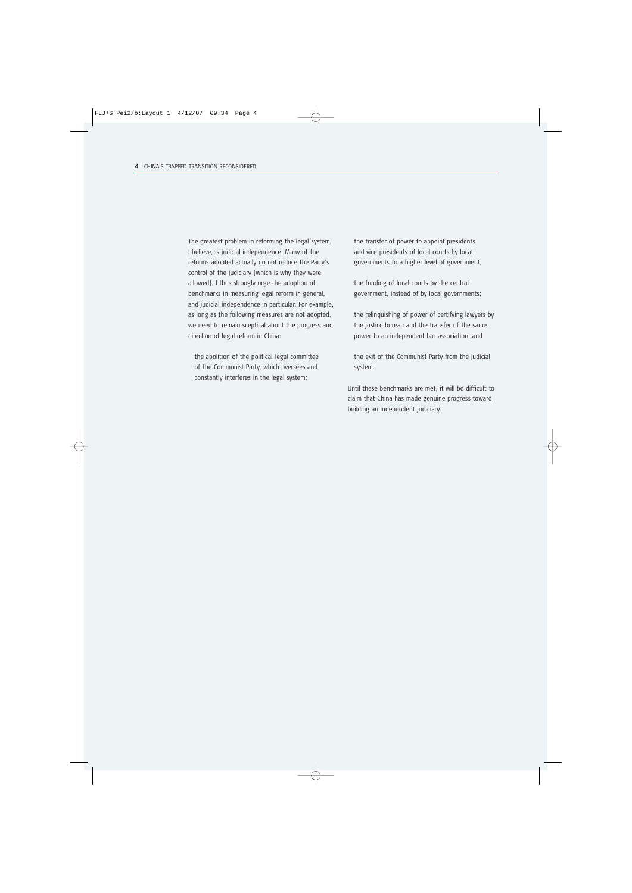The greatest problem in reforming the legal system, I believe, is judicial independence. Many of the reforms adopted actually do not reduce the Party's control of the judiciary (which is why they were allowed). I thus strongly urge the adoption of benchmarks in measuring legal reform in general, and judicial independence in particular. For example, as long as the following measures are not adopted, we need to remain sceptical about the progress and direction of legal reform in China:

the abolition of the political-legal committee of the Communist Party, which oversees and constantly interferes in the legal system;

the transfer of power to appoint presidents and vice-presidents of local courts by local governments to a higher level of government;

the funding of local courts by the central government, instead of by local governments;

the relinquishing of power of certifying lawyers by the justice bureau and the transfer of the same power to an independent bar association; and

the exit of the Communist Party from the judicial system.

Until these benchmarks are met, it will be difficult to claim that China has made genuine progress toward building an independent judiciary.